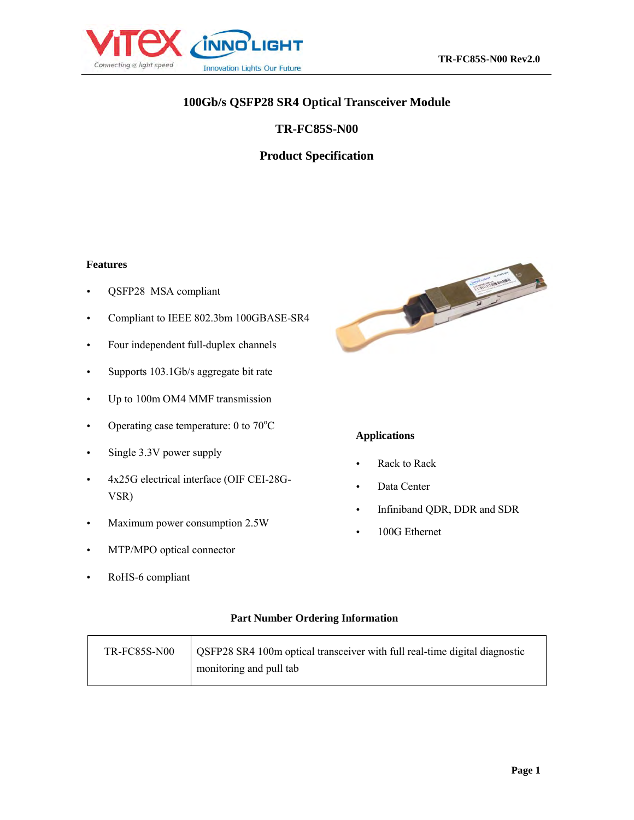

# **100Gb/s QSFP28 SR4 Optical Transceiver Module**

#### **TR-FC85S-N00**

## **Product Specification**

#### **Features**

- QSFP28 MSA compliant
- Compliant to IEEE 802.3bm 100GBASE-SR4
- Four independent full-duplex channels
- Supports 103.1Gb/s aggregate bit rate
- Up to 100m OM4 MMF transmission
- Operating case temperature:  $0$  to  $70^{\circ}$ C
- Single 3.3V power supply
- 4x25G electrical interface (OIF CEI-28G-VSR)
- Maximum power consumption 2.5W
- MTP/MPO optical connector
- RoHS-6 compliant



# **Applications**

- Rack to Rack
- Data Center
- Infiniband QDR, DDR and SDR
- 100G Ethernet

#### **Part Number Ordering Information**

| <b>TR-FC85S-N00</b> | OSFP28 SR4 100m optical transceiver with full real-time digital diagnostic |
|---------------------|----------------------------------------------------------------------------|
|                     | monitoring and pull tab                                                    |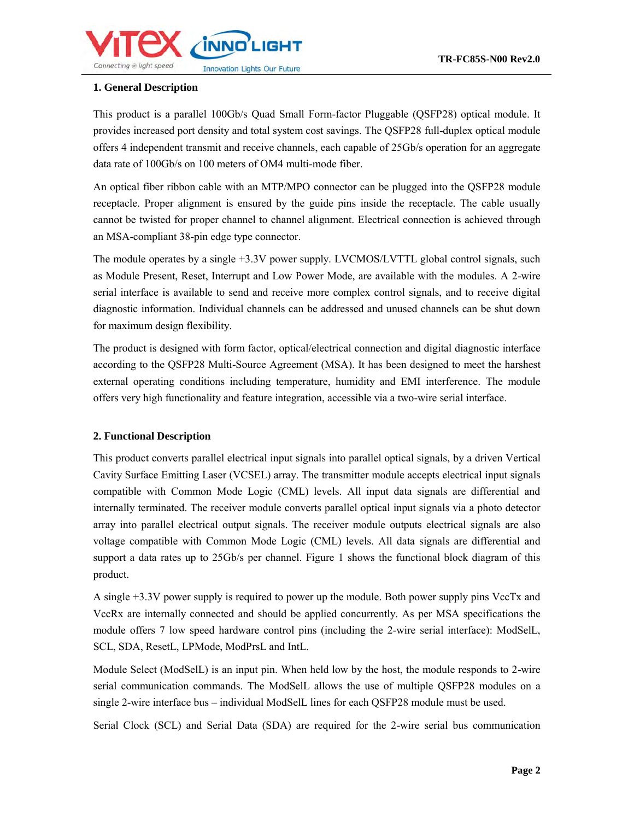

#### **1. General Description**

This product is a parallel 100Gb/s Quad Small Form-factor Pluggable (QSFP28) optical module. It provides increased port density and total system cost savings. The QSFP28 full-duplex optical module offers 4 independent transmit and receive channels, each capable of 25Gb/s operation for an aggregate data rate of 100Gb/s on 100 meters of OM4 multi-mode fiber.

An optical fiber ribbon cable with an MTP/MPO connector can be plugged into the QSFP28 module receptacle. Proper alignment is ensured by the guide pins inside the receptacle. The cable usually cannot be twisted for proper channel to channel alignment. Electrical connection is achieved through an MSA-compliant 38-pin edge type connector.

The module operates by a single +3.3V power supply. LVCMOS/LVTTL global control signals, such as Module Present, Reset, Interrupt and Low Power Mode, are available with the modules. A 2-wire serial interface is available to send and receive more complex control signals, and to receive digital diagnostic information. Individual channels can be addressed and unused channels can be shut down for maximum design flexibility.

The product is designed with form factor, optical/electrical connection and digital diagnostic interface according to the QSFP28 Multi-Source Agreement (MSA). It has been designed to meet the harshest external operating conditions including temperature, humidity and EMI interference. The module offers very high functionality and feature integration, accessible via a two-wire serial interface.

#### **2. Functional Description**

This product converts parallel electrical input signals into parallel optical signals, by a driven Vertical Cavity Surface Emitting Laser (VCSEL) array. The transmitter module accepts electrical input signals compatible with Common Mode Logic (CML) levels. All input data signals are differential and internally terminated. The receiver module converts parallel optical input signals via a photo detector array into parallel electrical output signals. The receiver module outputs electrical signals are also voltage compatible with Common Mode Logic (CML) levels. All data signals are differential and support a data rates up to 25Gb/s per channel. Figure 1 shows the functional block diagram of this product.

A single +3.3V power supply is required to power up the module. Both power supply pins VccTx and VccRx are internally connected and should be applied concurrently. As per MSA specifications the module offers 7 low speed hardware control pins (including the 2-wire serial interface): ModSelL, SCL, SDA, ResetL, LPMode, ModPrsL and IntL.

Module Select (ModSelL) is an input pin. When held low by the host, the module responds to 2-wire serial communication commands. The ModSelL allows the use of multiple QSFP28 modules on a single 2-wire interface bus – individual ModSelL lines for each QSFP28 module must be used.

Serial Clock (SCL) and Serial Data (SDA) are required for the 2-wire serial bus communication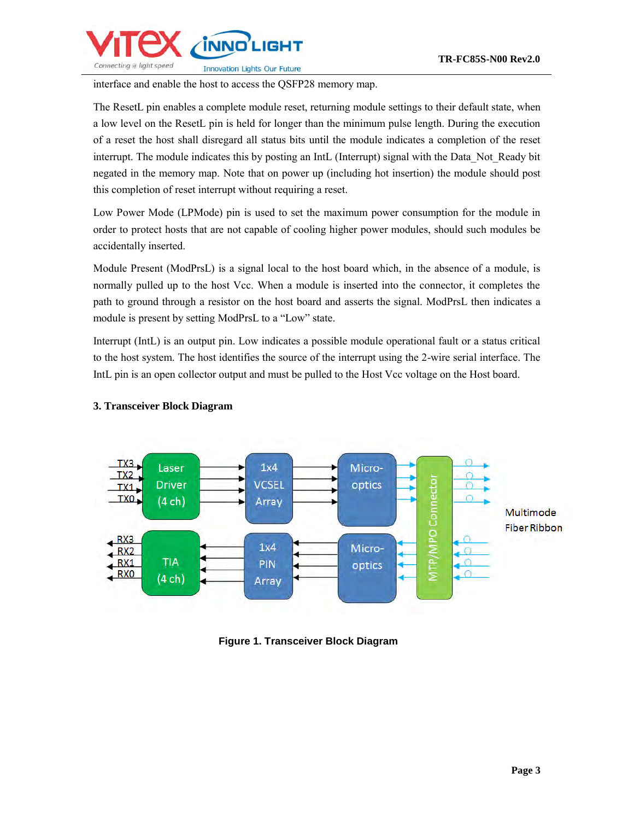

interface and enable the host to access the QSFP28 memory map.

The ResetL pin enables a complete module reset, returning module settings to their default state, when a low level on the ResetL pin is held for longer than the minimum pulse length. During the execution of a reset the host shall disregard all status bits until the module indicates a completion of the reset interrupt. The module indicates this by posting an IntL (Interrupt) signal with the Data\_Not\_Ready bit negated in the memory map. Note that on power up (including hot insertion) the module should post this completion of reset interrupt without requiring a reset.

Low Power Mode (LPMode) pin is used to set the maximum power consumption for the module in order to protect hosts that are not capable of cooling higher power modules, should such modules be accidentally inserted.

Module Present (ModPrsL) is a signal local to the host board which, in the absence of a module, is normally pulled up to the host Vcc. When a module is inserted into the connector, it completes the path to ground through a resistor on the host board and asserts the signal. ModPrsL then indicates a module is present by setting ModPrsL to a "Low" state.

Interrupt (IntL) is an output pin. Low indicates a possible module operational fault or a status critical to the host system. The host identifies the source of the interrupt using the 2-wire serial interface. The IntL pin is an open collector output and must be pulled to the Host Vcc voltage on the Host board.



#### **3. Transceiver Block Diagram**

**Figure 1. Transceiver Block Diagram**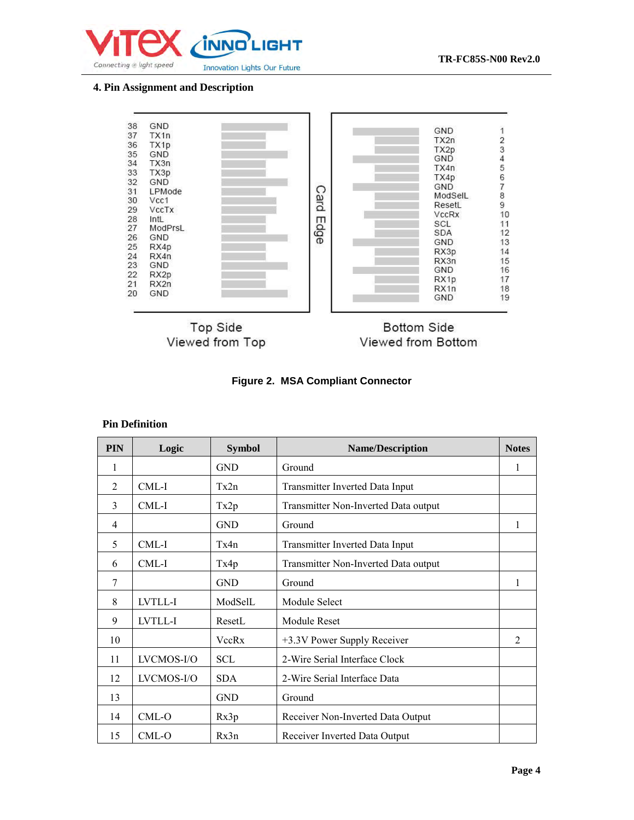

#### **4. Pin Assignment and Description**



**Figure 2. MSA Compliant Connector**

#### **Pin Definition**

| <b>PIN</b>     | Logic      | <b>Symbol</b> | <b>Name/Description</b>              | <b>Notes</b>   |
|----------------|------------|---------------|--------------------------------------|----------------|
| 1              |            | <b>GND</b>    | Ground                               | 1              |
| 2              | $CML-I$    | Tx2n          | Transmitter Inverted Data Input      |                |
| 3              | CML-I      | Tx2p          | Transmitter Non-Inverted Data output |                |
| $\overline{4}$ |            | <b>GND</b>    | Ground                               | 1              |
| 5              | $CML-I$    | Tx4n          | Transmitter Inverted Data Input      |                |
| 6              | $CML-I$    | Tx4p          | Transmitter Non-Inverted Data output |                |
| 7              |            | <b>GND</b>    | Ground                               | 1              |
| 8              | LVTLL-I    | ModSelL       | Module Select                        |                |
| 9              | LVTLL-I    | ResetL        | Module Reset                         |                |
| 10             |            | VccRx         | +3.3V Power Supply Receiver          | $\mathfrak{D}$ |
| 11             | LVCMOS-I/O | <b>SCL</b>    | 2-Wire Serial Interface Clock        |                |
| 12             | LVCMOS-I/O | <b>SDA</b>    | 2-Wire Serial Interface Data         |                |
| 13             |            | <b>GND</b>    | Ground                               |                |
| 14             | CML-O      | Rx3p          | Receiver Non-Inverted Data Output    |                |
| 15             | CML-O      | Rx3n          | Receiver Inverted Data Output        |                |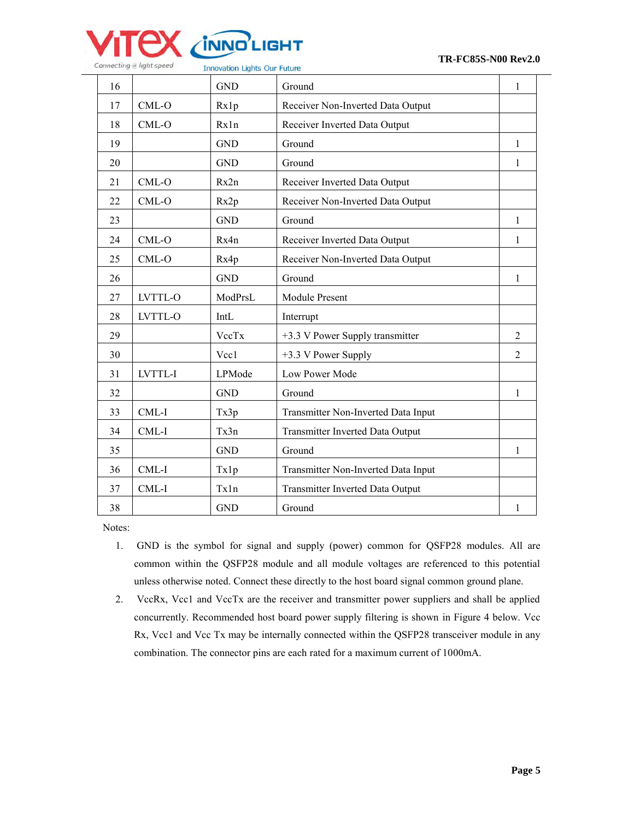

| 16 |         | <b>GND</b> | Ground                              | 1              |
|----|---------|------------|-------------------------------------|----------------|
| 17 | $CML-O$ | Rx1p       | Receiver Non-Inverted Data Output   |                |
| 18 | $CML-O$ | Rx1n       | Receiver Inverted Data Output       |                |
| 19 |         | <b>GND</b> | Ground                              | 1              |
| 20 |         | <b>GND</b> | Ground                              | 1              |
| 21 | CML-O   | Rx2n       | Receiver Inverted Data Output       |                |
| 22 | CML-O   | Rx2p       | Receiver Non-Inverted Data Output   |                |
| 23 |         | <b>GND</b> | Ground                              | $\mathbf{1}$   |
| 24 | CML-O   | Rx4n       | Receiver Inverted Data Output       | 1              |
| 25 | $CML-O$ | Rx4p       | Receiver Non-Inverted Data Output   |                |
| 26 |         | <b>GND</b> | Ground                              | 1              |
| 27 | LVTTL-O | ModPrsL    | Module Present                      |                |
| 28 | LVTTL-O | IntL       | Interrupt                           |                |
| 29 |         | VccTx      | +3.3 V Power Supply transmitter     | 2              |
| 30 |         | Vcc1       | +3.3 V Power Supply                 | $\overline{2}$ |
| 31 | LVTTL-I | LPMode     | Low Power Mode                      |                |
| 32 |         | <b>GND</b> | Ground                              | 1              |
| 33 | $CML-I$ | Tx3p       | Transmitter Non-Inverted Data Input |                |
| 34 | CML-I   | Tx3n       | Transmitter Inverted Data Output    |                |
| 35 |         | <b>GND</b> | Ground                              | 1              |
| 36 | CML-I   | Tx1p       | Transmitter Non-Inverted Data Input |                |
| 37 | CML-I   | Tx1n       | Transmitter Inverted Data Output    |                |
| 38 |         | <b>GND</b> | Ground                              | 1              |

Notes:

- 1. GND is the symbol for signal and supply (power) common for QSFP28 modules. All are common within the QSFP28 module and all module voltages are referenced to this potential unless otherwise noted. Connect these directly to the host board signal common ground plane.
- 2. VccRx, Vcc1 and VccTx are the receiver and transmitter power suppliers and shall be applied concurrently. Recommended host board power supply filtering is shown in Figure 4 below. Vcc Rx, Vcc1 and Vcc Tx may be internally connected within the QSFP28 transceiver module in any combination. The connector pins are each rated for a maximum current of 1000mA.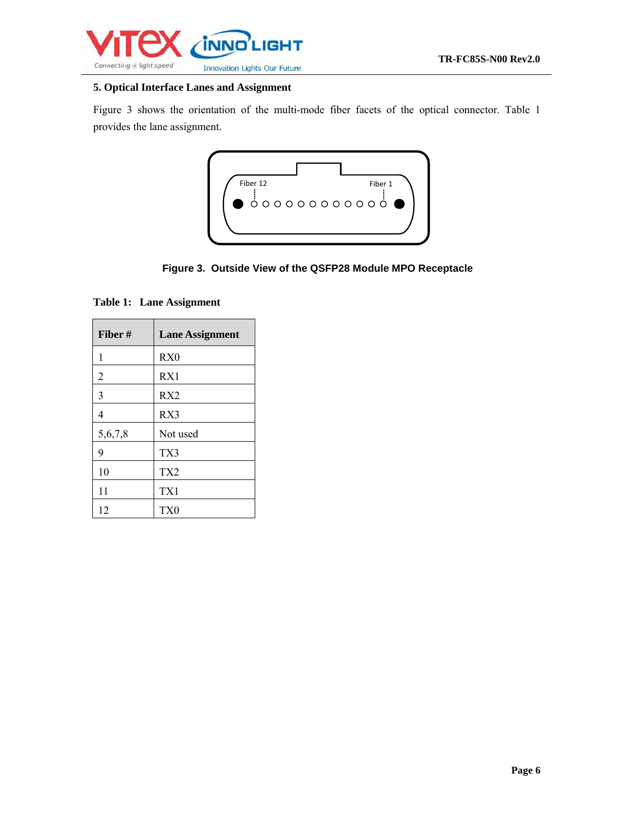

#### **5. Optical Interface Lanes and Assignment**

Figure 3 shows the orientation of the multi-mode fiber facets of the optical connector. Table 1 provides the lane assignment.



**Figure 3. Outside View of the QSFP28 Module MPO Receptacle**

**Table 1: Lane Assignment** 

| Fiber#  | <b>Lane Assignment</b> |
|---------|------------------------|
| 1       | RX <sub>0</sub>        |
| 2       | RX1                    |
| 3       | RX <sub>2</sub>        |
| 4       | RX3                    |
| 5,6,7,8 | Not used               |
| 9       | TX3                    |
| 10      | TX <sub>2</sub>        |
| 11      | TX1                    |
| 12      | TX0                    |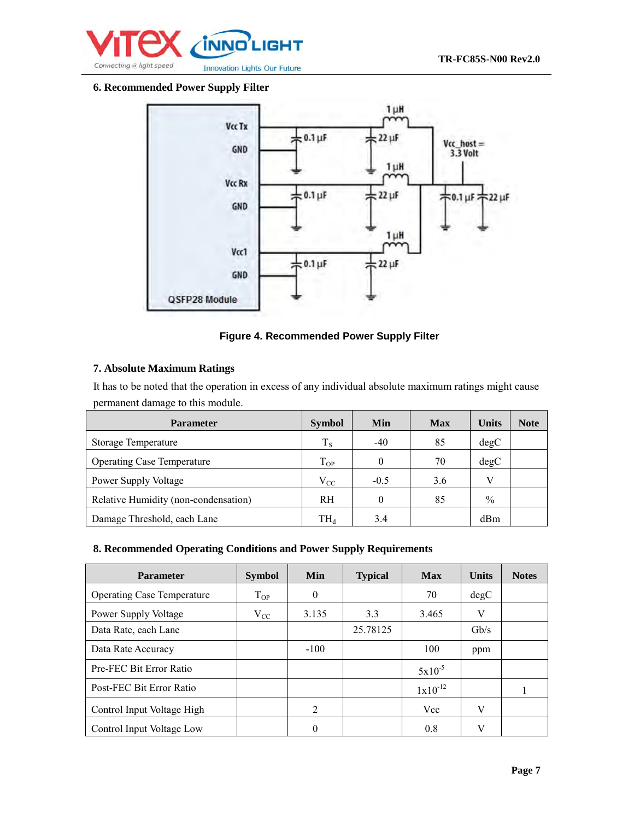

#### **6. Recommended Power Supply Filter**



#### **Figure 4. Recommended Power Supply Filter**

#### **7. Absolute Maximum Ratings**

It has to be noted that the operation in excess of any individual absolute maximum ratings might cause permanent damage to this module.

| <b>Parameter</b>                     | <b>Symbol</b>            | Min    | <b>Max</b> | <b>Units</b>    | <b>Note</b> |
|--------------------------------------|--------------------------|--------|------------|-----------------|-------------|
| Storage Temperature                  | $T_S$                    | $-40$  | 85         | degC            |             |
| <b>Operating Case Temperature</b>    | $T_{OP}$                 |        | 70         | degC            |             |
| Power Supply Voltage                 | $V_{CC}$                 | $-0.5$ | 3.6        | V               |             |
| Relative Humidity (non-condensation) | <b>RH</b>                | 0      | 85         | $\frac{0}{0}$   |             |
| Damage Threshold, each Lane          | $\mathrm{TH}_\mathrm{d}$ | 3.4    |            | d <sub>Bm</sub> |             |

#### **8. Recommended Operating Conditions and Power Supply Requirements**

| <b>Parameter</b>                  | <b>Symbol</b> | <b>Min</b> | <b>Typical</b> | <b>Max</b>   | <b>Units</b>    | <b>Notes</b> |
|-----------------------------------|---------------|------------|----------------|--------------|-----------------|--------------|
| <b>Operating Case Temperature</b> | $T_{OP}$      | $\theta$   |                | 70           | degC            |              |
| Power Supply Voltage              | $\rm V_{CC}$  | 3.135      | 3.3            | 3.465        | V               |              |
| Data Rate, each Lane              |               |            | 25.78125       |              | $\mathrm{Gb/s}$ |              |
| Data Rate Accuracy                |               | $-100$     |                | 100          | ppm             |              |
| Pre-FEC Bit Error Ratio           |               |            |                | $5x10^{-5}$  |                 |              |
| Post-FEC Bit Error Ratio          |               |            |                | $1x10^{-12}$ |                 |              |
| Control Input Voltage High        |               | 2          |                | Vcc          | V               |              |
| Control Input Voltage Low         |               | 0          |                | 0.8          | V               |              |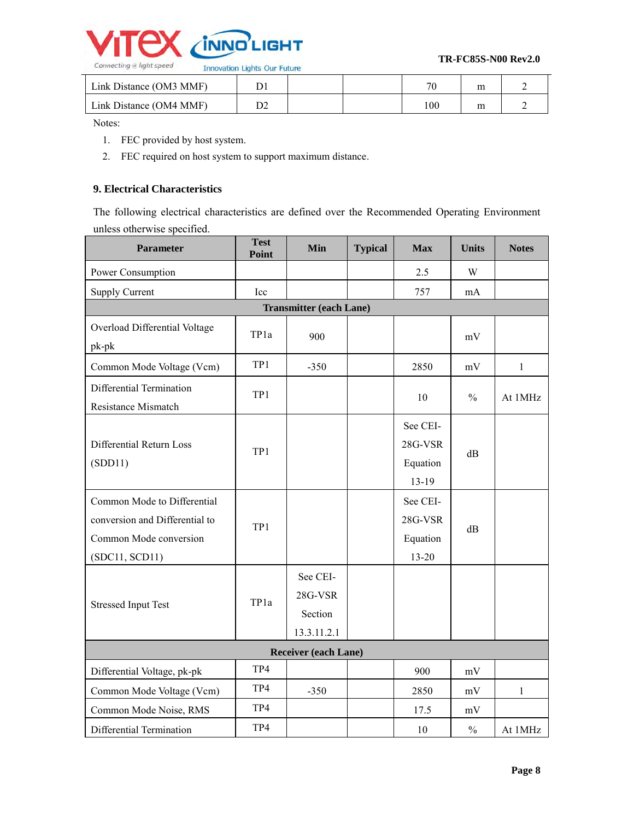

| Link Distance (OM3 MMF) |  | חד  | m |  |
|-------------------------|--|-----|---|--|
| Link Distance (OM4 MMF) |  | 100 | m |  |

Notes:

- 1. FEC provided by host system.
- 2. FEC required on host system to support maximum distance.

## **9. Electrical Characteristics**

The following electrical characteristics are defined over the Recommended Operating Environment unless otherwise specified.

| <b>Parameter</b>                                                                                          | <b>Test</b><br>Point | Min                                           | <b>Typical</b> | <b>Max</b>                               | <b>Units</b>  | <b>Notes</b> |  |  |  |
|-----------------------------------------------------------------------------------------------------------|----------------------|-----------------------------------------------|----------------|------------------------------------------|---------------|--------------|--|--|--|
| Power Consumption                                                                                         |                      |                                               |                | 2.5                                      | W             |              |  |  |  |
| <b>Supply Current</b>                                                                                     | Icc                  |                                               |                | 757                                      | mA            |              |  |  |  |
|                                                                                                           |                      | <b>Transmitter (each Lane)</b>                |                |                                          |               |              |  |  |  |
| Overload Differential Voltage<br>pk-pk                                                                    | TP <sub>1a</sub>     | 900                                           |                |                                          | mV            |              |  |  |  |
| Common Mode Voltage (Vcm)                                                                                 | TP1                  | $-350$                                        |                | 2850                                     | mV            | $\mathbf{1}$ |  |  |  |
| Differential Termination<br>Resistance Mismatch                                                           | TP1                  |                                               |                | 10                                       | $\frac{0}{0}$ | At 1MHz      |  |  |  |
| Differential Return Loss<br>(SDD11)                                                                       | TP1                  |                                               |                | See CEI-<br>28G-VSR<br>Equation<br>13-19 | dB            |              |  |  |  |
| Common Mode to Differential<br>conversion and Differential to<br>Common Mode conversion<br>(SDC11, SCD11) | TP1                  |                                               |                | See CEI-<br>28G-VSR<br>Equation<br>13-20 | dB            |              |  |  |  |
| <b>Stressed Input Test</b>                                                                                | TP1a                 | See CEI-<br>28G-VSR<br>Section<br>13.3.11.2.1 |                |                                          |               |              |  |  |  |
| Receiver (each Lane)                                                                                      |                      |                                               |                |                                          |               |              |  |  |  |
| Differential Voltage, pk-pk                                                                               | TP4                  |                                               |                | 900                                      | mV            |              |  |  |  |
| Common Mode Voltage (Vcm)                                                                                 | TP4                  | $-350$                                        |                | 2850                                     | mV            | 1            |  |  |  |
| Common Mode Noise, RMS                                                                                    | TP4                  |                                               |                | 17.5                                     | mV            |              |  |  |  |
| Differential Termination                                                                                  | TP4                  |                                               |                | 10                                       | $\frac{0}{0}$ | At 1MHz      |  |  |  |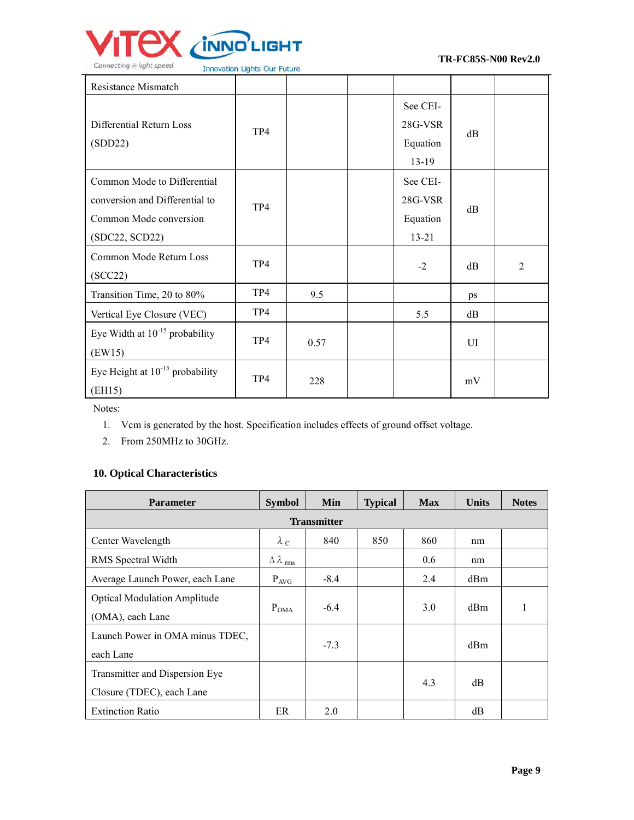

| Resistance Mismatch                                                                                       |     |      |                                              |          |                |
|-----------------------------------------------------------------------------------------------------------|-----|------|----------------------------------------------|----------|----------------|
| Differential Return Loss<br>(SDD22)                                                                       | TP4 |      | See CEI-<br>28G-VSR<br>Equation<br>$13-19$   | $\rm dB$ |                |
| Common Mode to Differential<br>conversion and Differential to<br>Common Mode conversion<br>(SDC22, SCD22) | TP4 |      | See CEI-<br>28G-VSR<br>Equation<br>$13 - 21$ | dB       |                |
| Common Mode Return Loss<br>(SCC22)                                                                        | TP4 |      | $-2$                                         | dB       | $\overline{2}$ |
| Transition Time, 20 to 80%                                                                                | TP4 | 9.5  |                                              | ps       |                |
| Vertical Eye Closure (VEC)                                                                                | TP4 |      | 5.5                                          | dB       |                |
| Eye Width at $10^{-15}$ probability<br>(EW15)                                                             | TP4 | 0.57 |                                              | UI       |                |
| Eye Height at $10^{-15}$ probability<br>(EH15)                                                            | TP4 | 228  |                                              | mV       |                |

Notes:

- 1. Vcm is generated by the host. Specification includes effects of ground offset voltage.
- 2. From 250MHz to 30GHz.

## **10. Optical Characteristics**

| <b>Parameter</b>                                            | <b>Symbol</b>                   | Min    | <b>Typical</b> | <b>Max</b> | <b>Units</b> | <b>Notes</b> |  |  |
|-------------------------------------------------------------|---------------------------------|--------|----------------|------------|--------------|--------------|--|--|
| <b>Transmitter</b>                                          |                                 |        |                |            |              |              |  |  |
| Center Wavelength                                           | $\lambda_c$                     | 840    | 850            | 860        | nm           |              |  |  |
| RMS Spectral Width                                          | $\Delta \lambda$ <sub>rms</sub> |        |                | 0.6        | nm           |              |  |  |
| Average Launch Power, each Lane                             | $P_{AVG}$                       | $-8.4$ |                | 2.4        | dBm          |              |  |  |
| <b>Optical Modulation Amplitude</b><br>(OMA), each Lane     | $P_{OMA}$                       | $-6.4$ |                | 3.0        | dBm          |              |  |  |
| Launch Power in OMA minus TDEC,<br>each Lane                |                                 | $-7.3$ |                |            | dBm          |              |  |  |
| Transmitter and Dispersion Eye<br>Closure (TDEC), each Lane |                                 |        |                | 4.3        | dB           |              |  |  |
| <b>Extinction Ratio</b>                                     | ER                              | 2.0    |                |            | dB           |              |  |  |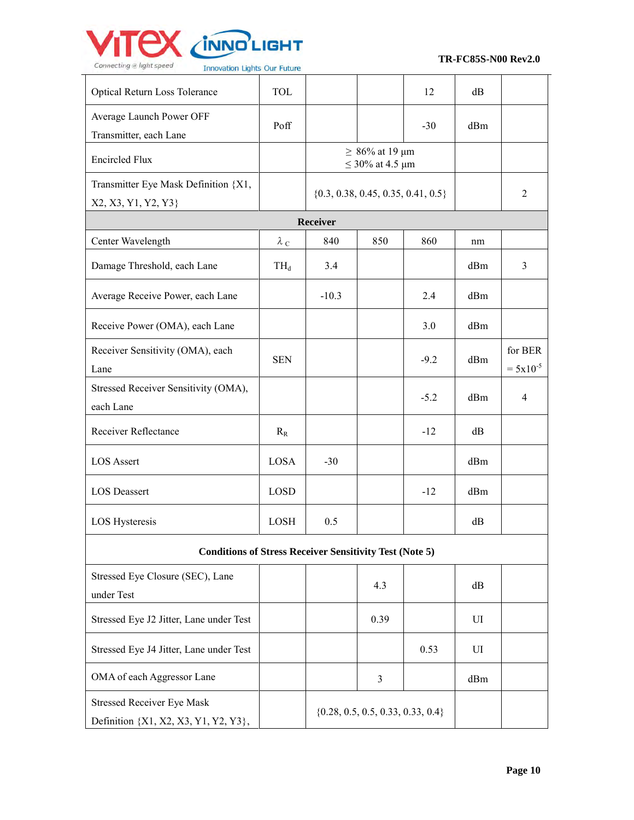

Definition {X1, X2, X3, Y1, Y2, Y3},

 **TR-FC85S-N00 Rev2.0**

| milovation Lights our ruture                                   |             |          |                                              |        |     |                          |
|----------------------------------------------------------------|-------------|----------|----------------------------------------------|--------|-----|--------------------------|
| Optical Return Loss Tolerance                                  | <b>TOL</b>  |          |                                              | 12     | dB  |                          |
| Average Launch Power OFF<br>Transmitter, each Lane             | Poff        |          |                                              | $-30$  | dBm |                          |
| <b>Encircled Flux</b>                                          |             |          | $\geq 86\%$ at 19 µm<br>$\leq$ 30% at 4.5 µm |        |     |                          |
| Transmitter Eye Mask Definition {X1,<br>X2, X3, Y1, Y2, Y3}    |             |          | $\{0.3, 0.38, 0.45, 0.35, 0.41, 0.5\}$       |        |     | $\overline{2}$           |
|                                                                |             | Receiver |                                              |        |     |                          |
| Center Wavelength                                              | $\lambda_c$ | 840      | 850                                          | 860    | nm  |                          |
| Damage Threshold, each Lane                                    | $TH_d$      | 3.4      |                                              |        | dBm | 3                        |
| Average Receive Power, each Lane                               |             | $-10.3$  |                                              | 2.4    | dBm |                          |
| Receive Power (OMA), each Lane                                 |             |          |                                              | 3.0    | dBm |                          |
| Receiver Sensitivity (OMA), each<br>Lane                       | <b>SEN</b>  |          |                                              | $-9.2$ | dBm | for BER<br>$= 5x10^{-5}$ |
| Stressed Receiver Sensitivity (OMA),<br>each Lane              |             |          |                                              | $-5.2$ | dBm | $\overline{4}$           |
| Receiver Reflectance                                           | $R_R$       |          |                                              | $-12$  | dB  |                          |
| <b>LOS</b> Assert                                              | LOSA        | $-30$    |                                              |        | dBm |                          |
| <b>LOS Deassert</b>                                            | <b>LOSD</b> |          |                                              | $-12$  | dBm |                          |
| LOS Hysteresis                                                 | <b>LOSH</b> | 0.5      |                                              |        | dB  |                          |
| <b>Conditions of Stress Receiver Sensitivity Test (Note 5)</b> |             |          |                                              |        |     |                          |
| Stressed Eye Closure (SEC), Lane<br>under Test                 |             |          | 4.3                                          |        | dB  |                          |
| Stressed Eye J2 Jitter, Lane under Test                        |             |          | 0.39                                         |        | UI  |                          |
| Stressed Eye J4 Jitter, Lane under Test                        |             |          |                                              | 0.53   | UI  |                          |
| OMA of each Aggressor Lane                                     |             |          | 3                                            |        | dBm |                          |
| <b>Stressed Receiver Eye Mask</b>                              |             |          | $\{0.28, 0.5, 0.5, 0.33, 0.33, 0.4\}$        |        |     |                          |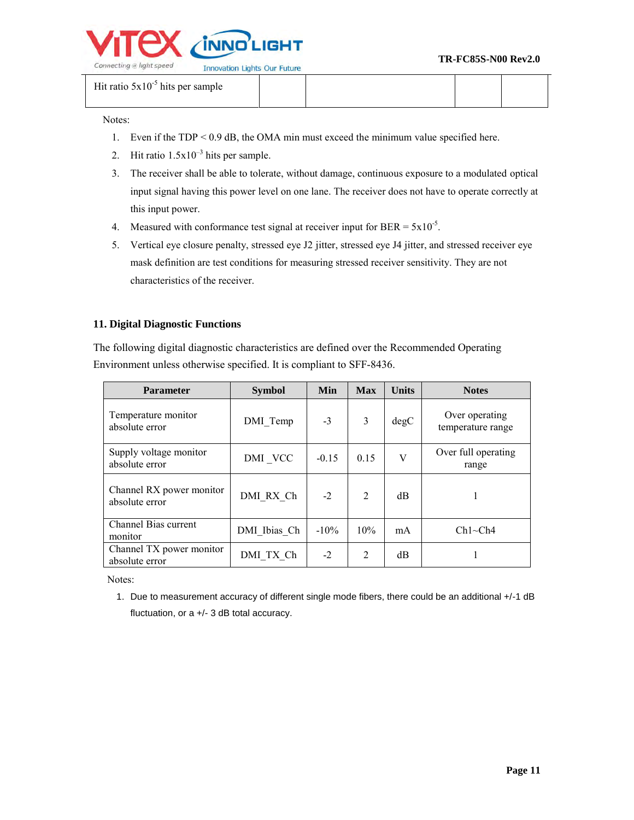

Hit ratio  $5x10^{-5}$  hits per sample

Notes:

- 1. Even if the TDP < 0.9 dB, the OMA min must exceed the minimum value specified here.
- 2. Hit ratio  $1.5x10^{-3}$  hits per sample.
- 3. The receiver shall be able to tolerate, without damage, continuous exposure to a modulated optical input signal having this power level on one lane. The receiver does not have to operate correctly at this input power.
- 4. Measured with conformance test signal at receiver input for BER =  $5x10^{-5}$ .
- 5. Vertical eye closure penalty, stressed eye J2 jitter, stressed eye J4 jitter, and stressed receiver eye mask definition are test conditions for measuring stressed receiver sensitivity. They are not characteristics of the receiver.

#### **11. Digital Diagnostic Functions**

The following digital diagnostic characteristics are defined over the Recommended Operating Environment unless otherwise specified. It is compliant to SFF-8436.

| <b>Parameter</b>                           | <b>Symbol</b> | Min     | <b>Max</b>                  | <b>Units</b> | <b>Notes</b>                        |
|--------------------------------------------|---------------|---------|-----------------------------|--------------|-------------------------------------|
| Temperature monitor<br>absolute error      | DMI Temp      | $-3$    | 3                           | degC         | Over operating<br>temperature range |
| Supply voltage monitor<br>absolute error   | DMI VCC       | $-0.15$ | 0.15                        | V            | Over full operating<br>range        |
| Channel RX power monitor<br>absolute error | DMI RX Ch     | $-2$    | $\mathcal{D}_{\mathcal{L}}$ | dB           |                                     |
| Channel Bias current<br>monitor            | DMI Ibias Ch  | $-10\%$ | 10%                         | mA           | $Ch1 \sim Ch4$                      |
| Channel TX power monitor<br>absolute error | DMI TX Ch     | $-2$    | 2                           | dВ           |                                     |

Notes:

1. Due to measurement accuracy of different single mode fibers, there could be an additional +/-1 dB fluctuation, or a +/- 3 dB total accuracy.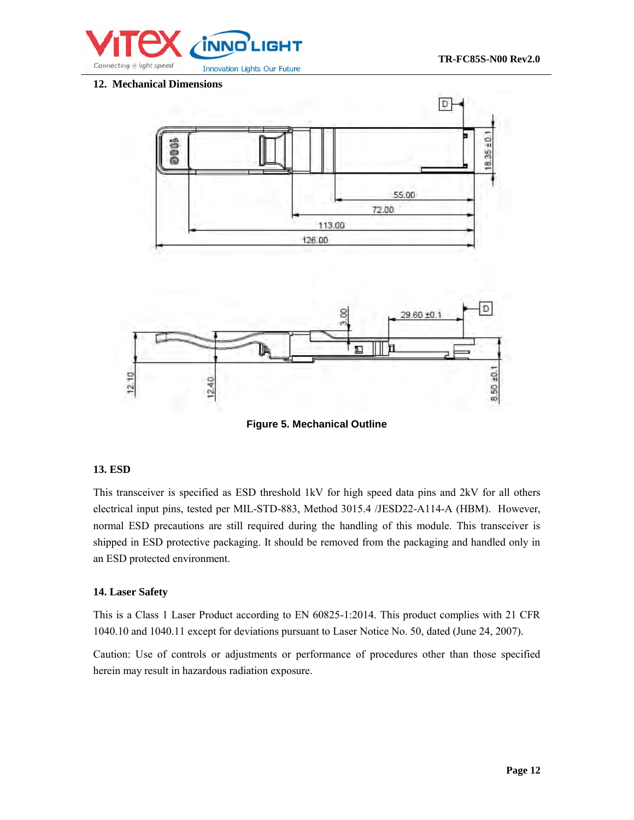

**12. Mechanical Dimensions**



**Figure 5. Mechanical Outline** 

#### **13. ESD**

This transceiver is specified as ESD threshold 1kV for high speed data pins and 2kV for all others electrical input pins, tested per MIL-STD-883, Method 3015.4 /JESD22-A114-A (HBM). However, normal ESD precautions are still required during the handling of this module. This transceiver is shipped in ESD protective packaging. It should be removed from the packaging and handled only in an ESD protected environment.

#### **14. Laser Safety**

This is a Class 1 Laser Product according to EN 60825-1:2014. This product complies with 21 CFR 1040.10 and 1040.11 except for deviations pursuant to Laser Notice No. 50, dated (June 24, 2007).

Caution: Use of controls or adjustments or performance of procedures other than those specified herein may result in hazardous radiation exposure.